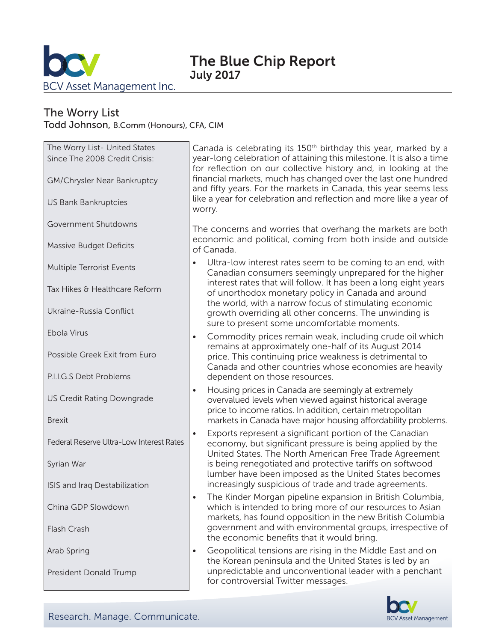

# The Worry List

Todd Johnson, B.Comm (Honours), CFA, CIM

| The Worry List- United States<br>Since The 2008 Credit Crisis: | Canada is<br>year-long<br>for reflect |
|----------------------------------------------------------------|---------------------------------------|
| GM/Chrysler Near Bankruptcy                                    | financial n<br>and fifty y            |
| <b>US Bank Bankruptcies</b>                                    | like a year<br>worry.                 |
| Government Shutdowns                                           | The conc                              |
| <b>Massive Budget Deficits</b>                                 | economic<br>of Canada                 |
| <b>Multiple Terrorist Events</b>                               | Ultra-l<br>Canad                      |
| Tax Hikes & Healthcare Reform                                  | interes<br>of unc                     |
| Ukraine-Russia Conflict                                        | the wo<br>growtl<br>sure to           |
| Ebola Virus                                                    | Comm<br>remair                        |
| Possible Greek Exit from Euro                                  | price.<br>Canad                       |
| P.I.I.G.S Debt Problems                                        | depen                                 |
| <b>US Credit Rating Downgrade</b>                              | Housir<br>overva<br>price to          |
| <b>Brexit</b>                                                  | market                                |
| Federal Reserve Ultra-Low Interest Rates                       | Export<br>econo<br>United             |
| Syrian War                                                     | is bein<br>lumbe                      |
| ISIS and Iraq Destabilization                                  | increa<br>The Ki                      |
| China GDP Slowdown                                             | which<br>marke                        |
| Flash Crash                                                    | goverr<br>the ec                      |
| Arab Spring                                                    | Geopo<br>the Ko                       |
| President Donald Trump                                         | unpred<br>for cor                     |

celebrating its 150<sup>th</sup> birthday this year, marked by a celebration of attaining this milestone. It is also a time tion on our collective history and, in looking at the narkets, much has changed over the last one hundred ears. For the markets in Canada, this year seems less for celebration and reflection and more like a year of

erns and worries that overhang the markets are both and political, coming from both inside and outside of Canada.

- low interest rates seem to be coming to an end, with lian consumers seemingly unprepared for the higher st rates that will follow. It has been a long eight years orthodox monetary policy in Canada and around orld, with a narrow focus of stimulating economic h overriding all other concerns. The unwinding is o present some uncomfortable moments.
- hodity prices remain weak, including crude oil which ns at approximately one-half of its August 2014 This continuing price weakness is detrimental to la and other countries whose economies are heavily dent on those resources.
- ng prices in Canada are seemingly at extremely lued levels when viewed against historical average o income ratios. In addition, certain metropolitan ts in Canada have major housing affordability problems.
- ts represent a significant portion of the Canadian my, but significant pressure is being applied by the I States. The North American Free Trade Agreement ig renegotiated and protective tariffs on softwood r have been imposed as the United States becomes singly suspicious of trade and trade agreements.
- nder Morgan pipeline expansion in British Columbia, is intended to bring more of our resources to Asian ts, has found opposition in the new British Columbia ament and with environmental groups, irrespective of onomic benefits that it would bring.
- blitical tensions are rising in the Middle East and on rean peninsula and the United States is led by an dictable and unconventional leader with a penchant ntroversial Twitter messages.

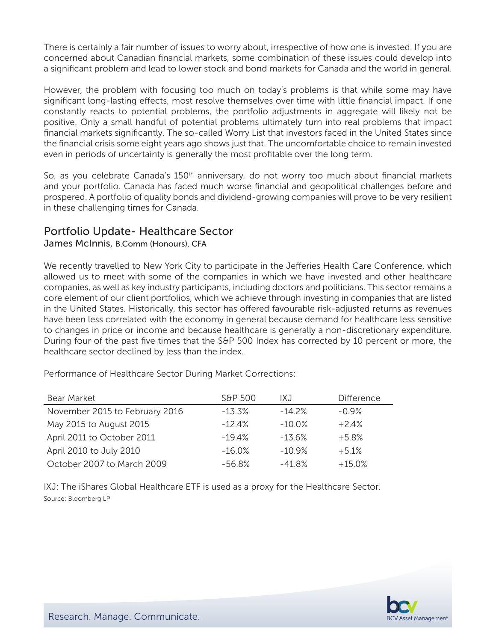There is certainly a fair number of issues to worry about, irrespective of how one is invested. If you are concerned about Canadian financial markets, some combination of these issues could develop into a significant problem and lead to lower stock and bond markets for Canada and the world in general.

However, the problem with focusing too much on today's problems is that while some may have significant long-lasting effects, most resolve themselves over time with little financial impact. If one constantly reacts to potential problems, the portfolio adjustments in aggregate will likely not be positive. Only a small handful of potential problems ultimately turn into real problems that impact financial markets significantly. The so-called Worry List that investors faced in the United States since the financial crisis some eight years ago shows just that. The uncomfortable choice to remain invested even in periods of uncertainty is generally the most profitable over the long term.

So, as you celebrate Canada's 150<sup>th</sup> anniversary, do not worry too much about financial markets and your portfolio. Canada has faced much worse financial and geopolitical challenges before and prospered. A portfolio of quality bonds and dividend-growing companies will prove to be very resilient in these challenging times for Canada.

## Portfolio Update- Healthcare Sector

James McInnis, B.Comm (Honours), CFA

We recently travelled to New York City to participate in the Jefferies Health Care Conference, which allowed us to meet with some of the companies in which we have invested and other healthcare companies, as well as key industry participants, including doctors and politicians. This sector remains a core element of our client portfolios, which we achieve through investing in companies that are listed in the United States. Historically, this sector has offered favourable risk-adjusted returns as revenues have been less correlated with the economy in general because demand for healthcare less sensitive to changes in price or income and because healthcare is generally a non-discretionary expenditure. During four of the past five times that the S&P 500 Index has corrected by 10 percent or more, the healthcare sector declined by less than the index.

| Bear Market                    | S&P 500   | IXJ       | Difference |
|--------------------------------|-----------|-----------|------------|
| November 2015 to February 2016 | $-13.3\%$ | $-14.2\%$ | $-0.9\%$   |
| May 2015 to August 2015        | $-12.4\%$ | $-10.0\%$ | $+2.4%$    |
| April 2011 to October 2011     | $-194%$   | $-13.6%$  | $+5.8%$    |
| April 2010 to July 2010        | $-16.0\%$ | $-10.9%$  | $+5.1%$    |
| October 2007 to March 2009     | $-56.8\%$ | $-41.8%$  | $+15.0\%$  |

Performance of Healthcare Sector During Market Corrections:

IXJ: The iShares Global Healthcare ETF is used as a proxy for the Healthcare Sector. Source: Bloomberg LP

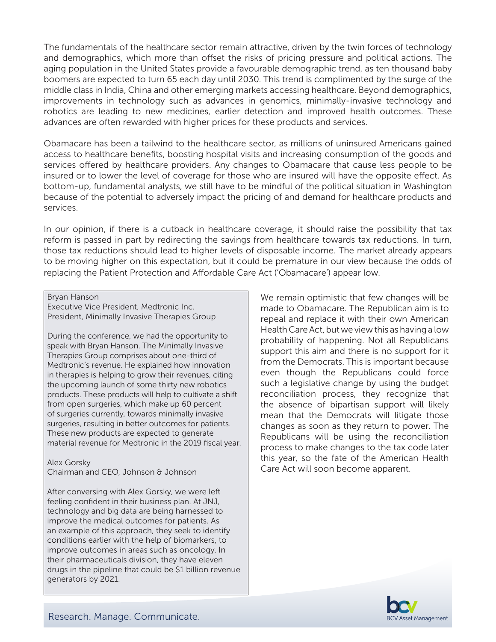The fundamentals of the healthcare sector remain attractive, driven by the twin forces of technology and demographics, which more than offset the risks of pricing pressure and political actions. The aging population in the United States provide a favourable demographic trend, as ten thousand baby boomers are expected to turn 65 each day until 2030. This trend is complimented by the surge of the middle class in India, China and other emerging markets accessing healthcare. Beyond demographics, improvements in technology such as advances in genomics, minimally-invasive technology and robotics are leading to new medicines, earlier detection and improved health outcomes. These advances are often rewarded with higher prices for these products and services.

Obamacare has been a tailwind to the healthcare sector, as millions of uninsured Americans gained access to healthcare benefits, boosting hospital visits and increasing consumption of the goods and services offered by healthcare providers. Any changes to Obamacare that cause less people to be insured or to lower the level of coverage for those who are insured will have the opposite effect. As bottom-up, fundamental analysts, we still have to be mindful of the political situation in Washington because of the potential to adversely impact the pricing of and demand for healthcare products and services.

In our opinion, if there is a cutback in healthcare coverage, it should raise the possibility that tax reform is passed in part by redirecting the savings from healthcare towards tax reductions. In turn, those tax reductions should lead to higher levels of disposable income. The market already appears to be moving higher on this expectation, but it could be premature in our view because the odds of replacing the Patient Protection and Affordable Care Act ('Obamacare') appear low.

Bryan Hanson

Executive Vice President, Medtronic Inc. President, Minimally Invasive Therapies Group

During the conference, we had the opportunity to speak with Bryan Hanson. The Minimally Invasive Therapies Group comprises about one-third of Medtronic's revenue. He explained how innovation in therapies is helping to grow their revenues, citing the upcoming launch of some thirty new robotics products. These products will help to cultivate a shift from open surgeries, which make up 60 percent of surgeries currently, towards minimally invasive surgeries, resulting in better outcomes for patients. These new products are expected to generate material revenue for Medtronic in the 2019 fiscal year.

Alex Gorsky Chairman and CEO, Johnson & Johnson

After conversing with Alex Gorsky, we were left feeling confident in their business plan. At JNJ, technology and big data are being harnessed to improve the medical outcomes for patients. As an example of this approach, they seek to identify conditions earlier with the help of biomarkers, to improve outcomes in areas such as oncology. In their pharmaceuticals division, they have eleven drugs in the pipeline that could be \$1 billion revenue generators by 2021.

We remain optimistic that few changes will be made to Obamacare. The Republican aim is to repeal and replace it with their own American Health Care Act, but we view this as having a low probability of happening. Not all Republicans support this aim and there is no support for it from the Democrats. This is important because even though the Republicans could force such a legislative change by using the budget reconciliation process, they recognize that the absence of bipartisan support will likely mean that the Democrats will litigate those changes as soon as they return to power. The Republicans will be using the reconciliation process to make changes to the tax code later this year, so the fate of the American Health Care Act will soon become apparent.

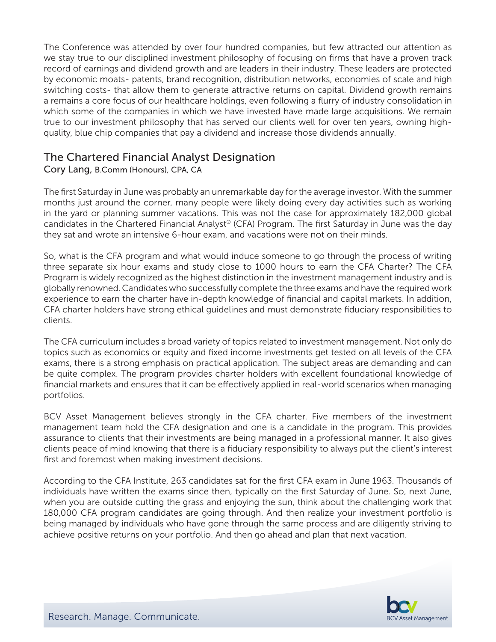The Conference was attended by over four hundred companies, but few attracted our attention as we stay true to our disciplined investment philosophy of focusing on firms that have a proven track record of earnings and dividend growth and are leaders in their industry. These leaders are protected by economic moats- patents, brand recognition, distribution networks, economies of scale and high switching costs- that allow them to generate attractive returns on capital. Dividend growth remains a remains a core focus of our healthcare holdings, even following a flurry of industry consolidation in which some of the companies in which we have invested have made large acquisitions. We remain true to our investment philosophy that has served our clients well for over ten years, owning highquality, blue chip companies that pay a dividend and increase those dividends annually.

## The Chartered Financial Analyst Designation

## Cory Lang, B.Comm (Honours), CPA, CA

The first Saturday in June was probably an unremarkable day for the average investor. With the summer months just around the corner, many people were likely doing every day activities such as working in the yard or planning summer vacations. This was not the case for approximately 182,000 global candidates in the Chartered Financial Analyst® (CFA) Program. The first Saturday in June was the day they sat and wrote an intensive 6-hour exam, and vacations were not on their minds.

So, what is the CFA program and what would induce someone to go through the process of writing three separate six hour exams and study close to 1000 hours to earn the CFA Charter? The CFA Program is widely recognized as the highest distinction in the investment management industry and is globally renowned. Candidates who successfully complete the three exams and have the required work experience to earn the charter have in-depth knowledge of financial and capital markets. In addition, CFA charter holders have strong ethical guidelines and must demonstrate fiduciary responsibilities to clients.

The CFA curriculum includes a broad variety of topics related to investment management. Not only do topics such as economics or equity and fixed income investments get tested on all levels of the CFA exams, there is a strong emphasis on practical application. The subject areas are demanding and can be quite complex. The program provides charter holders with excellent foundational knowledge of financial markets and ensures that it can be effectively applied in real-world scenarios when managing portfolios.

BCV Asset Management believes strongly in the CFA charter. Five members of the investment management team hold the CFA designation and one is a candidate in the program. This provides assurance to clients that their investments are being managed in a professional manner. It also gives clients peace of mind knowing that there is a fiduciary responsibility to always put the client's interest first and foremost when making investment decisions.

According to the CFA Institute, 263 candidates sat for the first CFA exam in June 1963. Thousands of individuals have written the exams since then, typically on the first Saturday of June. So, next June, when you are outside cutting the grass and enjoying the sun, think about the challenging work that 180,000 CFA program candidates are going through. And then realize your investment portfolio is being managed by individuals who have gone through the same process and are diligently striving to achieve positive returns on your portfolio. And then go ahead and plan that next vacation.